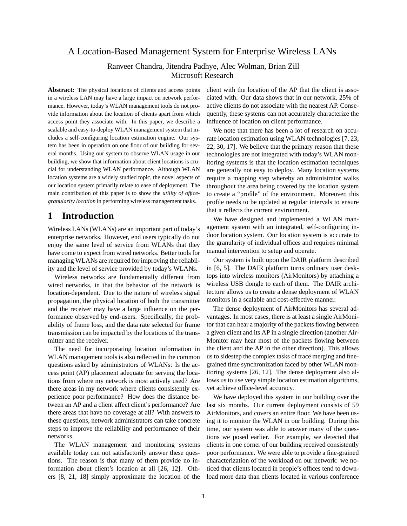## A Location-Based Management System for Enterprise Wireless LANs

## Ranveer Chandra, Jitendra Padhye, Alec Wolman, Brian Zill Microsoft Research

**Abstract:** The physical locations of clients and access points in a wireless LAN may have a large impact on network performance. However, today's WLAN management tools do not provide information about the location of clients apart from which access point they associate with. In this paper, we describe a scalable and easy-to-deploy WLAN management system that includes a self-configuring location estimation engine. Our system has been in operation on one floor of our building for several months. Using our system to observe WLAN usage in our building, we show that information about client locations is crucial for understanding WLAN performance. Although WLAN location systems are a widely studied topic, the novel aspects of our location system primarily relate to ease of deployment. The main contribution of this paper is to show the *utility of officegranularity location* in performing wireless management tasks.

# **1 Introduction**

Wireless LANs (WLANs) are an important part of today's enterprise networks. However, end users typically do not enjoy the same level of service from WLANs that they have come to expect from wired networks. Better tools for managing WLANs are required for improving the reliability and the level of service provided by today's WLANs.

Wireless networks are fundamentally different from wired networks, in that the behavior of the network is location-dependent. Due to the nature of wireless signal propagation, the physical location of both the transmitter and the receiver may have a large influence on the performance observed by end-users. Specifically, the probability of frame loss, and the data rate selected for frame transmission can be impacted by the locations of the transmitter and the receiver.

The need for incorporating location information in WLAN management tools is also reflected in the common questions asked by administrators of WLANs: Is the access point (AP) placement adequate for serving the locations from where my network is most actively used? Are there areas in my network where clients consistently experience poor performance? How does the distance between an AP and a client affect client's performance? Are there areas that have no coverage at all? With answers to these questions, network administrators can take concrete steps to improve the reliability and performance of their networks.

The WLAN management and monitoring systems available today can not satisfactorily answer these questions. The reason is that many of them provide no information about client's location at all [26, 12]. Others [8, 21, 18] simply approximate the location of the client with the location of the AP that the client is associated with. Our data shows that in our network, 25% of active clients do not associate with the nearest AP. Consequently, these systems can not accurately characterize the influence of location on client performance.

We note that there has been a lot of research on accurate location estimation using WLAN technologies [7, 23, 22, 30, 17]. We believe that the primary reason that these technologies are not integrated with today's WLAN monitoring systems is that the location estimation techniques are generally not easy to deploy. Many location systems require a mapping step whereby an administrator walks throughout the area being covered by the location system to create a "profile" of the environment. Moreover, this profile needs to be updated at regular intervals to ensure that it reflects the current environment.

We have designed and implemented a WLAN management system with an integrated, self-configuring indoor location system. Our location system is accurate to the granularity of individual offices and requires minimal manual intervention to setup and operate.

Our system is built upon the DAIR platform described in [6, 5]. The DAIR platform turns ordinary user desktops into wireless monitors (AirMonitors) by attaching a wireless USB dongle to each of them. The DAIR architecture allows us to create a dense deployment of WLAN monitors in a scalable and cost-effective manner.

The dense deployment of AirMonitors has several advantages. In most cases, there is at least a single AirMonitor that can hear a majority of the packets flowing between a given client and its AP in a single direction (another Air-Monitor may hear most of the packets flowing between the client and the AP in the other direction). This allows us to sidestep the complex tasks of trace merging and finegrained time synchronization faced by other WLAN monitoring systems [26, 12]. The dense deployment also allows us to use very simple location estimation algorithms, yet achieve office-level accuracy.

We have deployed this system in our building over the last six months. Our current deployment consists of 59 AirMonitors, and covers an entire floor. We have been using it to monitor the WLAN in our building. During this time, our system was able to answer many of the questions we posed earlier. For example, we detected that clients in one corner of our building received consistently poor performance. We were able to provide a fine-grained characterization of the workload on our network: we noticed that clients located in people's offices tend to download more data than clients located in various conference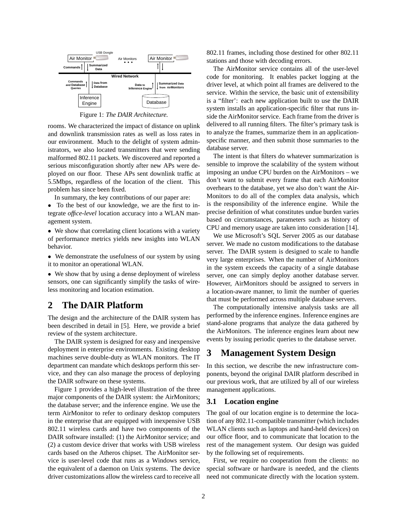

Figure 1: *The DAIR Architecture.*

rooms. We characterized the impact of distance on uplink and downlink transmission rates as well as loss rates in our environment. Much to the delight of system administrators, we also located transmitters that were sending malformed 802.11 packets. We discovered and reported a serious misconfiguration shortly after new APs were deployed on our floor. These APs sent downlink traffic at 5.5Mbps, regardless of the location of the client. This problem has since been fixed.

In summary, the key contributions of our paper are:

• To the best of our knowledge, we are the first to integrate *office-level* location accuracy into a WLAN management system.

• We show that correlating client locations with a variety of performance metrics yields new insights into WLAN behavior.

• We demonstrate the usefulness of our system by using it to monitor an operational WLAN.

• We show that by using a dense deployment of wireless sensors, one can significantly simplify the tasks of wireless monitoring and location estimation.

## **2 The DAIR Platform**

The design and the architecture of the DAIR system has been described in detail in [5]. Here, we provide a brief review of the system architecture.

The DAIR system is designed for easy and inexpensive deployment in enterprise environments. Existing desktop machines serve double-duty as WLAN monitors. The IT department can mandate which desktops perform this service, and they can also manage the process of deploying the DAIR software on these systems.

Figure 1 provides a high-level illustration of the three major components of the DAIR system: the AirMonitors; the database server; and the inference engine. We use the term AirMonitor to refer to ordinary desktop computers in the enterprise that are equipped with inexpensive USB 802.11 wireless cards and have two components of the DAIR software installed: (1) the AirMonitor service; and (2) a custom device driver that works with USB wireless cards based on the Atheros chipset. The AirMonitor service is user-level code that runs as a Windows service, the equivalent of a daemon on Unix systems. The device driver customizations allow the wireless card to receive all 802.11 frames, including those destined for other 802.11 stations and those with decoding errors.

The AirMonitor service contains all of the user-level code for monitoring. It enables packet logging at the driver level, at which point all frames are delivered to the service. Within the service, the basic unit of extensibility is a "filter': each new application built to use the DAIR system installs an application-specific filter that runs inside the AirMonitor service. Each frame from the driver is delivered to all running filters. The filter's primary task is to analyze the frames, summarize them in an applicationspecific manner, and then submit those summaries to the database server.

The intent is that filters do whatever summarization is sensible to improve the scalability of the system without imposing an undue CPU burden on the AirMonitors – we don't want to submit every frame that each AirMonitor overhears to the database, yet we also don't want the Air-Monitors to do all of the complex data analysis, which is the responsibility of the inference engine. While the precise definition of what constitutes undue burden varies based on circumstances, parameters such as history of CPU and memory usage are taken into consideration [14].

We use Microsoft's SQL Server 2005 as our database server. We made no custom modifications to the database server. The DAIR system is designed to scale to handle very large enterprises. When the number of AirMonitors in the system exceeds the capacity of a single database server, one can simply deploy another database server. However, AirMonitors should be assigned to servers in a location-aware manner, to limit the number of queries that must be performed across multiple database servers.

The computationally intensive analysis tasks are all performed by the inference engines. Inference engines are stand-alone programs that analyze the data gathered by the AirMonitors. The inference engines learn about new events by issuing periodic queries to the database server.

# **3 Management System Design**

In this section, we describe the new infrastructure components, beyond the original DAIR platform described in our previous work, that are utilized by all of our wireless management applications.

### **3.1 Location engine**

The goal of our location engine is to determine the location of any 802.11-compatible transmitter (which includes WLAN clients such as laptops and hand-held devices) on our office floor, and to communicate that location to the rest of the management system. Our design was guided by the following set of requirements.

First, we require no cooperation from the clients: no special software or hardware is needed, and the clients need not communicate directly with the location system.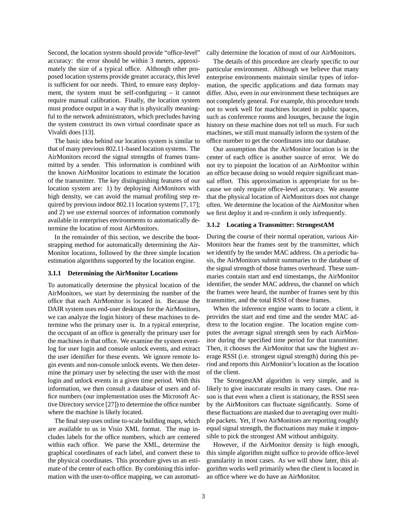Second, the location system should provide "office-level" accuracy: the error should be within 3 meters, approximately the size of a typical office. Although other proposed location systems provide greater accuracy, this level is sufficient for our needs. Third, to ensure easy deployment, the system must be self-configuring – it cannot require manual calibration. Finally, the location system must produce output in a way that is physically meaningful to the network administrators, which precludes having the system construct its own virtual coordinate space as Vivaldi does [13].

The basic idea behind our location system is similar to that of many previous 802.11-based location systems. The AirMonitors record the signal strengths of frames transmitted by a sender. This information is combined with the known AirMonitor locations to estimate the location of the transmitter. The key distinguishing features of our location system are: 1) by deploying AirMonitors with high density, we can avoid the manual profiling step required by previous indoor 802.11 location systems [7, 17]; and 2) we use external sources of information commonly available in enterprises environments to automatically determine the location of most AirMonitors.

In the remainder of this section, we describe the bootstrapping method for automatically determining the Air-Monitor locations, followed by the three simple location estimation algorithms supported by the location engine.

#### **3.1.1 Determining the AirMonitor Locations**

To automatically determine the physical location of the AirMonitors, we start by determining the number of the office that each AirMonitor is located in. Because the DAIR system uses end-user desktops for the AirMonitors, we can analyze the login history of these machines to determine who the primary user is. In a typical enterprise, the occupant of an office is generally the primary user for the machines in that office. We examine the system eventlog for user login and console unlock events, and extract the user identifier for these events. We ignore remote login events and non-console unlock events. We then determine the primary user by selecting the user with the most login and unlock events in a given time period. With this information, we then consult a database of users and office numbers (our implementation uses the Microsoft Active Directory service [27]) to determine the office number where the machine is likely located.

The final step uses online to-scale building maps, which are available to us in Visio XML format. The map includes labels for the office numbers, which are centered within each office. We parse the XML, determine the graphical coordinates of each label, and convert these to the physical coordinates. This procedure gives us an estimate of the center of each office. By combining this information with the user-to-office mapping, we can automatically determine the location of most of our AirMonitors.

The details of this procedure are clearly specific to our particular environment. Although we believe that many enterprise environments maintain similar types of information, the specific applications and data formats may differ. Also, even in our environment these techniques are not completely general. For example, this procedure tends not to work well for machines located in public spaces, such as conference rooms and lounges, because the login history on these machine does not tell us much. For such machines, we still must manually inform the system of the office number to get the coordinates into our database.

Our assumption that the AirMonitor location is in the center of each office is another source of error. We do not try to pinpoint the location of an AirMonitor within an office because doing so would require significant manual effort. This approximation is appropriate for us because we only require office-level accuracy. We assume that the physical location of AirMonitors does not change often. We determine the location of the AirMonitor when we first deploy it and re-confirm it only infrequently.

#### **3.1.2 Locating a Transmitter: StrongestAM**

During the course of their normal operation, various Air-Monitors hear the frames sent by the transmitter, which we identify by the sender MAC address. On a periodic basis, the AirMonitors submit summaries to the database of the signal strength of those frames overheard. These summaries contain start and end timestamps, the AirMonitor identifier, the sender MAC address, the channel on which the frames were heard, the number of frames sent by this transmitter, and the total RSSI of those frames.

When the inference engine wants to locate a client, it provides the start and end time and the sender MAC address to the location engine. The location engine computes the average signal strength seen by each AirMonitor during the specified time period for that transmitter. Then, it chooses the AirMonitor that saw the highest average RSSI (i.e. strongest signal strength) during this period and reports this AirMonitor's location as the location of the client.

The StrongestAM algorithm is very simple, and is likely to give inaccurate results in many cases. One reason is that even when a client is stationary, the RSSI seen by the AirMonitors can fluctuate significantly. Some of these fluctuations are masked due to averaging over multiple packets. Yet, if two AirMonitors are reporting roughly equal signal strength, the fluctuations may make it impossible to pick the strongest AM without ambiguity.

However, if the AirMonitor density is high enough, this simple algorithm might suffice to provide office-level granularity in most cases. As we will show later, this algorithm works well primarily when the client is located in an office where we do have an AirMonitor.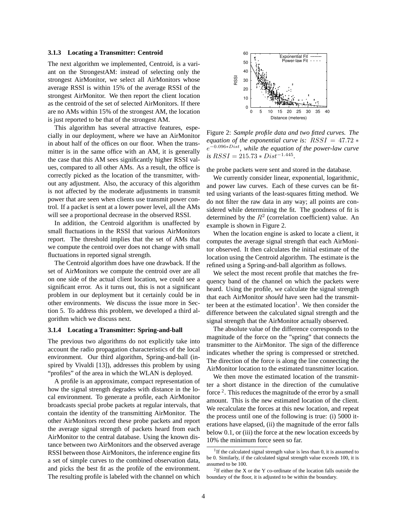#### **3.1.3 Locating a Transmitter: Centroid**

The next algorithm we implemented, Centroid, is a variant on the StrongestAM: instead of selecting only the strongest AirMonitor, we select all AirMonitors whose average RSSI is within 15% of the average RSSI of the strongest AirMonitor. We then report the client location as the centroid of the set of selected AirMonitors. If there are no AMs within 15% of the strongest AM, the location is just reported to be that of the strongest AM.

This algorithm has several attractive features, especially in our deployment, where we have an AirMonitor in about half of the offices on our floor. When the transmitter is in the same office with an AM, it is generally the case that this AM sees significantly higher RSSI values, compared to all other AMs. As a result, the office is correctly picked as the location of the transmitter, without any adjustment. Also, the accuracy of this algorithm is not affected by the moderate adjustments in transmit power that are seen when clients use transmit power control. If a packet is sent at a lower power level, all the AMs will see a proportional decrease in the observed RSSI.

In addition, the Centroid algorithm is unaffected by small fluctuations in the RSSI that various AirMonitors report. The threshold implies that the set of AMs that we compute the centroid over does not change with small fluctuations in reported signal strength.

The Centroid algorithm does have one drawback. If the set of AirMonitors we compute the centroid over are all on one side of the actual client location, we could see a significant error. As it turns out, this is not a significant problem in our deployment but it certainly could be in other environments. We discuss the issue more in Section 5. To address this problem, we developed a third algorithm which we discuss next.

#### **3.1.4 Locating a Transmitter: Spring-and-ball**

The previous two algorithms do not explicitly take into account the radio propagation characteristics of the local environment. Our third algorithm, Spring-and-ball (inspired by Vivaldi [13]), addresses this problem by using "profiles" of the area in which the WLAN is deployed.

A profile is an approximate, compact representation of how the signal strength degrades with distance in the local environment. To generate a profile, each AirMonitor broadcasts special probe packets at regular intervals, that contain the identity of the transmitting AirMonitor. The other AirMonitors record these probe packets and report the average signal strength of packets heard from each AirMonitor to the central database. Using the known distance between two AirMonitors and the observed average RSSI between those AirMonitors, the inference engine fits a set of simple curves to the combined observation data, and picks the best fit as the profile of the environment. The resulting profile is labeled with the channel on which



Figure 2: *Sample profile data and two fitted curves. The equation of the exponential curve is:* RSSI = 47.72 ∗ e <sup>−</sup>0.096∗Dist*, while the equation of the power-law curve*  $is RSSI = 215.73 * Dist^{-1.445}.$ 

the probe packets were sent and stored in the database.

We currently consider linear, exponential, logarithmic, and power law curves. Each of these curves can be fitted using variants of the least-squares fitting method. We do not filter the raw data in any way; all points are considered while determining the fit. The goodness of fit is determined by the  $R^2$  (correlation coefficient) value. An example is shown in Figure 2.

When the location engine is asked to locate a client, it computes the average signal strength that each AirMonitor observed. It then calculates the initial estimate of the location using the Centroid algorithm. The estimate is the refined using a Spring-and-ball algorithm as follows.

We select the most recent profile that matches the frequency band of the channel on which the packets were heard. Using the profile, we calculate the signal strength that each AirMonitor *should* have seen had the transmitter been at the estimated location<sup>1</sup>. We then consider the difference between the calculated signal strength and the signal strength that the AirMonitor actually observed.

The absolute value of the difference corresponds to the magnitude of the force on the "spring" that connects the transmitter to the AirMonitor. The sign of the difference indicates whether the spring is compressed or stretched. The direction of the force is along the line connecting the AirMonitor location to the estimated transmitter location.

We then move the estimated location of the transmitter a short distance in the direction of the cumulative force<sup>2</sup>. This reduces the magnitude of the error by a small amount. This is the new estimated location of the client. We recalculate the forces at this new location, and repeat the process until one of the following is true: (i) 5000 iterations have elapsed, (ii) the magnitude of the error falls below 0.1, or (iii) the force at the new location exceeds by 10% the minimum force seen so far.

<sup>&</sup>lt;sup>1</sup>If the calculated signal strength value is less than 0, it is assumed to be 0. Similarly, if the calculated signal strength value exceeds 100, it is assumed to be 100.

<sup>2</sup> If either the X or the Y co-ordinate of the location falls outside the boundary of the floor, it is adjusted to be within the boundary.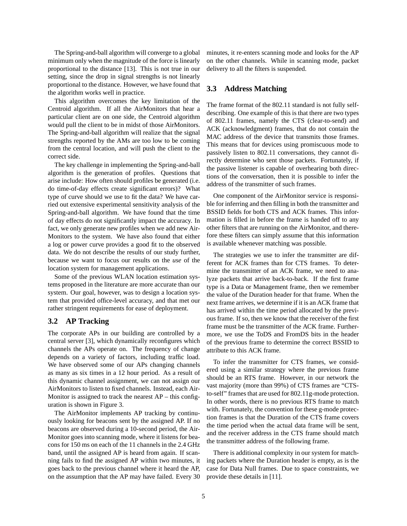The Spring-and-ball algorithm will converge to a global minimum only when the magnitude of the force is linearly proportional to the distance [13]. This is not true in our setting, since the drop in signal strengths is not linearly proportional to the distance. However, we have found that the algorithm works well in practice.

This algorithm overcomes the key limitation of the Centroid algorithm. If all the AirMonitors that hear a particular client are on one side, the Centroid algorithm would pull the client to be in midst of those AirMonitors. The Spring-and-ball algorithm will realize that the signal strengths reported by the AMs are too low to be coming from the central location, and will push the client to the correct side.

The key challenge in implementing the Spring-and-ball algorithm is the generation of profiles. Questions that arise include: How often should profiles be generated (i.e. do time-of-day effects create significant errors)? What type of curve should we use to fit the data? We have carried out extensive experimental sensitivity analysis of the Spring-and-ball algorithm. We have found that the time of day effects do not significantly impact the accuracy. In fact, we only generate new profiles when we add new Air-Monitors to the system. We have also found that either a log or power curve provides a good fit to the observed data. We do not describe the results of our study further, because we want to focus our results on the *use* of the location system for management applications.

Some of the previous WLAN location estimation systems proposed in the literature are more accurate than our system. Our goal, however, was to design a location system that provided office-level accuracy, and that met our rather stringent requirements for ease of deployment.

### **3.2 AP Tracking**

The corporate APs in our building are controlled by a central server [3], which dynamically reconfigures which channels the APs operate on. The frequency of change depends on a variety of factors, including traffic load. We have observed some of our APs changing channels as many as six times in a 12 hour period. As a result of this dynamic channel assignment, we can not assign our AirMonitors to listen to fixed channels. Instead, each Air-Monitor is assigned to track the nearest  $AP - this$  configuration is shown in Figure 3.

The AirMonitor implements AP tracking by continuously looking for beacons sent by the assigned AP. If no beacons are observed during a 10-second period, the Air-Monitor goes into scanning mode, where it listens for beacons for 150 ms on each of the 11 channels in the 2.4 GHz band, until the assigned AP is heard from again. If scanning fails to find the assigned AP within two minutes, it goes back to the previous channel where it heard the AP, on the assumption that the AP may have failed. Every 30 minutes, it re-enters scanning mode and looks for the AP on the other channels. While in scanning mode, packet delivery to all the filters is suspended.

## **3.3 Address Matching**

The frame format of the 802.11 standard is not fully selfdescribing. One example of this is that there are two types of 802.11 frames, namely the CTS (clear-to-send) and ACK (acknowledgment) frames, that do not contain the MAC address of the device that transmits those frames. This means that for devices using promiscuous mode to passively listen to 802.11 conversations, they cannot directly determine who sent those packets. Fortunately, if the passive listener is capable of overhearing both directions of the conversation, then it is possible to infer the address of the transmitter of such frames.

One component of the AirMonitor service is responsible for inferring and then filling in both the transmitter and BSSID fields for both CTS and ACK frames. This information is filled in before the frame is handed off to any other filters that are running on the AirMonitor, and therefore these filters can simply assume that this information is available whenever matching was possible.

The strategies we use to infer the transmitter are different for ACK frames than for CTS frames. To determine the transmitter of an ACK frame, we need to analyze packets that arrive back-to-back. If the first frame type is a Data or Management frame, then we remember the value of the Duration header for that frame. When the next frame arrives, we determine if it is an ACK frame that has arrived within the time period allocated by the previous frame. If so, then we know that the receiver of the first frame must be the transmitter of the ACK frame. Furthermore, we use the ToDS and FromDS bits in the header of the previous frame to determine the correct BSSID to attribute to this ACK frame.

To infer the transmitter for CTS frames, we considered using a similar strategy where the previous frame should be an RTS frame. However, in our network the vast majority (more than 99%) of CTS frames are "CTSto-self" frames that are used for 802.11g-mode protection. In other words, there is no previous RTS frame to match with. Fortunately, the convention for these g-mode protection frames is that the Duration of the CTS frame covers the time period when the actual data frame will be sent, and the receiver address in the CTS frame should match the transmitter address of the following frame.

There is additional complexity in our system for matching packets where the Duration header is empty, as is the case for Data Null frames. Due to space constraints, we provide these details in [11].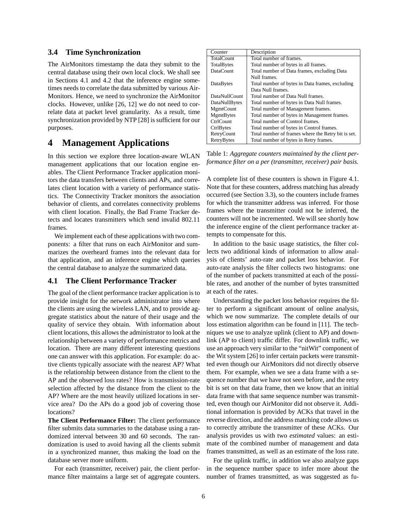### **3.4 Time Synchronization**

The AirMonitors timestamp the data they submit to the central database using their own local clock. We shall see in Sections 4.1 and 4.2 that the inference engine sometimes needs to correlate the data submitted by various Air-Monitors. Hence, we need to synchronize the AirMonitor clocks. However, unlike [26, 12] we do not need to correlate data at packet level granularity. As a result, time synchronization provided by NTP [28] is sufficient for our purposes.

## **4 Management Applications**

In this section we explore three location-aware WLAN management applications that our location engine enables. The Client Performance Tracker application monitors the data transfers between clients and APs, and correlates client location with a variety of performance statistics. The Connectivity Tracker monitors the association behavior of clients, and correlates connectivity problems with client location. Finally, the Bad Frame Tracker detects and locates transmitters which send invalid 802.11 frames.

We implement each of these applications with two components: a filter that runs on each AirMonitor and summarizes the overheard frames into the relevant data for that application, and an inference engine which queries the central database to analyze the summarized data.

### **4.1 The Client Performance Tracker**

The goal of the client performance tracker application is to provide insight for the network administrator into where the clients are using the wireless LAN, and to provide aggregate statistics about the nature of their usage and the quality of service they obtain. With information about client locations, this allows the administrator to look at the relationship between a variety of performance metrics and location. There are many different interesting questions one can answer with this application. For example: do active clients typically associate with the nearest AP? What is the relationship between distance from the client to the AP and the observed loss rates? How is transmission-rate selection affected by the distance from the client to the AP? Where are the most heavily utilized locations in service area? Do the APs do a good job of covering those locations?

**The Client Performance Filter:** The client performance filter submits data summaries to the database using a randomized interval between 30 and 60 seconds. The randomization is used to avoid having all the clients submit in a synchronized manner, thus making the load on the database server more uniform.

For each (transmitter, receiver) pair, the client performance filter maintains a large set of aggregate counters.

| Counter           | Description                                        |  |  |  |  |
|-------------------|----------------------------------------------------|--|--|--|--|
| <b>TotalCount</b> | Total number of frames.                            |  |  |  |  |
| TotalBytes        | Total number of bytes in all frames.               |  |  |  |  |
| DataCount         | Total number of Data frames, excluding Data        |  |  |  |  |
|                   | Null frames.                                       |  |  |  |  |
| DataBytes         | Total number of bytes in Data frames, excluding    |  |  |  |  |
|                   | Data Null frames.                                  |  |  |  |  |
| DataNullCount     | Total number of Data Null frames.                  |  |  |  |  |
| DataNullBytes     | Total number of bytes in Data Null frames.         |  |  |  |  |
| MgmtCount         | Total number of Management frames.                 |  |  |  |  |
| MgmtBytes         | Total number of bytes in Management frames.        |  |  |  |  |
| CtrlCount         | Total number of Control frames.                    |  |  |  |  |
| CtrlBytes         | Total number of bytes in Control frames.           |  |  |  |  |
| RetryCount        | Total number of frames where the Retry bit is set. |  |  |  |  |
| RetryBytes        | Total number of bytes in Retry frames.             |  |  |  |  |

Table 1: *Aggregate counters maintained by the client performance filter on a per (transmitter, receiver) pair basis.*

A complete list of these counters is shown in Figure 4.1. Note that for these counters, address matching has already occurred (see Section 3.3), so the counters include frames for which the transmitter address was inferred. For those frames where the transmitter could not be inferred, the counters will not be incremented. We will see shortly how the inference engine of the client performance tracker attempts to compensate for this.

In addition to the basic usage statistics, the filter collects two additional kinds of information to allow analysis of clients' auto-rate and packet loss behavior. For auto-rate analysis the filter collects two histograms: one of the number of packets transmitted at each of the possible rates, and another of the number of bytes transmitted at each of the rates.

Understanding the packet loss behavior requires the filter to perform a significant amount of online analysis, which we now summarize. The complete details of our loss estimation algorithm can be found in [11]. The techniques we use to analyze uplink (client to AP) and downlink (AP to client) traffic differ. For downlink traffic, we use an approach very similar to the "nitWit" component of the Wit system [26] to infer certain packets were transmitted even though our AirMonitors did not directly observe them. For example, when we see a data frame with a sequence number that we have not seen before, and the retry bit is set on that data frame, then we know that an initial data frame with that same sequence number was transmitted, even though our AirMonitor did not observe it. Additional information is provided by ACKs that travel in the reverse direction, and the address matching code allows us to correctly attribute the transmitter of these ACKs. Our analysis provides us with two *estimated* values: an estimate of the combined number of management and data frames transmitted, as well as an estimate of the loss rate.

For the uplink traffic, in addition we also analyze gaps in the sequence number space to infer more about the number of frames transmitted, as was suggested as fu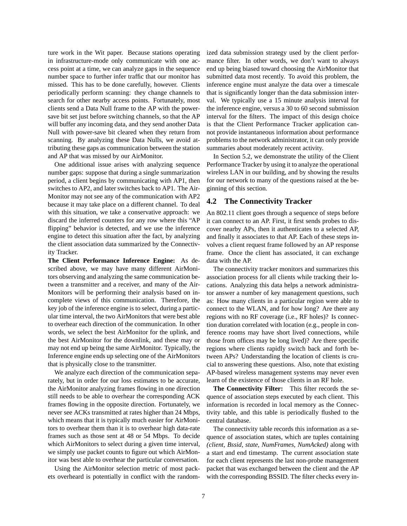ture work in the Wit paper. Because stations operating in infrastructure-mode only communicate with one access point at a time, we can analyze gaps in the sequence number space to further infer traffic that our monitor has missed. This has to be done carefully, however. Clients periodically perform scanning: they change channels to search for other nearby access points. Fortunately, most clients send a Data Null frame to the AP with the powersave bit set just before switching channels, so that the AP will buffer any incoming data, and they send another Data Null with power-save bit cleared when they return from scanning. By analyzing these Data Nulls, we avoid attributing these gaps as communication between the station and AP that was missed by our AirMonitor.

One additional issue arises with analyzing sequence number gaps: suppose that during a single summarization period, a client begins by communicating with AP1, then switches to AP2, and later switches back to AP1. The Air-Monitor may not see any of the communication with AP2 because it may take place on a different channel. To deal with this situation, we take a conservative approach: we discard the inferred counters for any row where this "AP flipping" behavior is detected, and we use the inference engine to detect this situation after the fact, by analyzing the client association data summarized by the Connectivity Tracker.

**The Client Performance Inference Engine:** As described above, we may have many different AirMonitors observing and analyzing the same communication between a transmitter and a receiver, and many of the Air-Monitors will be performing their analysis based on incomplete views of this communication. Therefore, the key job of the inference engine is to select, during a particular time interval, the two AirMonitors that were best able to overhear each direction of the communication. In other words, we select the best AirMonitor for the uplink, and the best AirMonitor for the downlink, and these may or may not end up being the same AirMonitor. Typically, the Inference engine ends up selecting one of the AirMonitors that is physically close to the transmitter.

We analyze each direction of the communication separately, but in order for our loss estimates to be accurate, the AirMonitor analyzing frames flowing in one direction still needs to be able to overhear the corresponding ACK frames flowing in the opposite direction. Fortunately, we never see ACKs transmitted at rates higher than 24 Mbps, which means that it is typically much easier for AirMonitors to overhear them than it is to overhear high data-rate frames such as those sent at 48 or 54 Mbps. To decide which AirMonitors to select during a given time interval, we simply use packet counts to figure out which AirMonitor was best able to overhear the particular conversation.

Using the AirMonitor selection metric of most packets overheard is potentially in conflict with the randomized data submission strategy used by the client performance filter. In other words, we don't want to always end up being biased toward choosing the AirMonitor that submitted data most recently. To avoid this problem, the inference engine must analyze the data over a timescale that is significantly longer than the data submission interval. We typically use a 15 minute analysis interval for the inference engine, versus a 30 to 60 second submission interval for the filters. The impact of this design choice is that the Client Performance Tracker application cannot provide instantaneous information about performance problems to the network administrator, it can only provide summaries about moderately recent activity.

In Section 5.2, we demonstrate the utility of the Client Performance Tracker by using it to analyze the operational wireless LAN in our building, and by showing the results for our network to many of the questions raised at the beginning of this section.

### **4.2 The Connectivity Tracker**

An 802.11 client goes through a sequence of steps before it can connect to an AP. First, it first sends probes to discover nearby APs, then it authenticates to a selected AP, and finally it associates to that AP. Each of these steps involves a client request frame followed by an AP response frame. Once the client has associated, it can exchange data with the AP.

The connectivity tracker monitors and summarizes this association process for all clients while tracking their locations. Analyzing this data helps a network administrator answer a number of key management questions, such as: How many clients in a particular region were able to connect to the WLAN, and for how long? Are there any regions with no RF coverage (i.e., RF holes)? Is connection duration correlated with location (e.g., people in conference rooms may have short lived connections, while those from offices may be long lived)? Are there specific regions where clients rapidly switch back and forth between APs? Understanding the location of clients is crucial to answering these questions. Also, note that existing AP-based wireless management systems may never even learn of the existence of those clients in an RF hole.

**The Connectivity Filter:** This filter records the sequence of association steps executed by each client. This information is recorded in local memory as the Connectivity table, and this table is periodically flushed to the central database.

The connectivity table records this information as a sequence of association states, which are tuples containing *(client, Bssid, state, NumFrames, NumAcked)* along with a start and end timestamp. The current association state for each client represents the last non-probe management packet that was exchanged between the client and the AP with the corresponding BSSID. The filter checks every in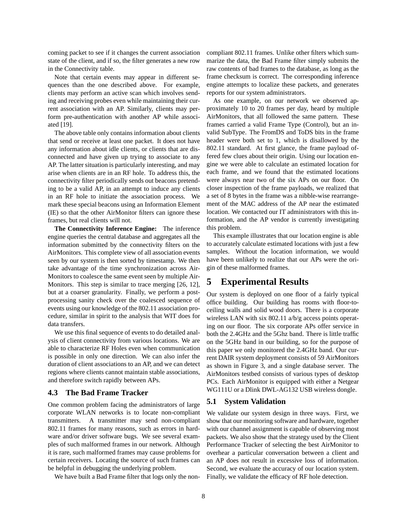coming packet to see if it changes the current association state of the client, and if so, the filter generates a new row in the Connectivity table.

Note that certain events may appear in different sequences than the one described above. For example, clients may perform an active scan which involves sending and receiving probes even while maintaining their current association with an AP. Similarly, clients may perform pre-authentication with another AP while associated [19].

The above table only contains information about clients that send or receive at least one packet. It does not have any information about idle clients, or clients that are disconnected and have given up trying to associate to any AP. The latter situation is particularly interesting, and may arise when clients are in an RF hole. To address this, the connectivity filter periodically sends out beacons pretending to be a valid AP, in an attempt to induce any clients in an RF hole to initiate the association process. We mark these special beacons using an Information Element (IE) so that the other AirMonitor filters can ignore these frames, but real clients will not.

**The Connectivity Inference Engine:** The inference engine queries the central database and aggregates all the information submitted by the connectivity filters on the AirMonitors. This complete view of all association events seen by our system is then sorted by timestamp. We then take advantage of the time synchronization across Air-Monitors to coalesce the same event seen by multiple Air-Monitors. This step is similar to trace merging [26, 12], but at a coarser granularity. Finally, we perform a postprocessing sanity check over the coalesced sequence of events using our knowledge of the 802.11 association procedure, similar in spirit to the analysis that WIT does for data transfers.

We use this final sequence of events to do detailed analysis of client connectivity from various locations. We are able to characterize RF Holes even when communication is possible in only one direction. We can also infer the duration of client associations to an AP, and we can detect regions where clients cannot maintain stable associations, and therefore switch rapidly between APs.

### **4.3 The Bad Frame Tracker**

One common problem facing the administrators of large corporate WLAN networks is to locate non-compliant transmitters. A transmitter may send non-compliant 802.11 frames for many reasons, such as errors in hardware and/or driver software bugs. We see several examples of such malformed frames in our network. Although it is rare, such malformed frames may cause problems for certain receivers. Locating the source of such frames can be helpful in debugging the underlying problem.

We have built a Bad Frame filter that logs only the non-

compliant 802.11 frames. Unlike other filters which summarize the data, the Bad Frame filter simply submits the raw contents of bad frames to the database, as long as the frame checksum is correct. The corresponding inference engine attempts to localize these packets, and generates reports for our system administrators.

As one example, on our network we observed approximately 10 to 20 frames per day, heard by multiple AirMonitors, that all followed the same pattern. These frames carried a valid Frame Type (Control), but an invalid SubType. The FromDS and ToDS bits in the frame header were both set to 1, which is disallowed by the 802.11 standard. At first glance, the frame payload offered few clues about their origin. Using our location engine we were able to calculate an estimated location for each frame, and we found that the estimated locations were always near two of the six APs on our floor. On closer inspection of the frame payloads, we realized that a set of 8 bytes in the frame was a nibble-wise rearrangement of the MAC address of the AP near the estimated location. We contacted our IT administrators with this information, and the AP vendor is currently investigating this problem.

This example illustrates that our location engine is able to accurately calculate estimated locations with just a few samples. Without the location information, we would have been unlikely to realize that our APs were the origin of these malformed frames.

# **5 Experimental Results**

Our system is deployed on one floor of a fairly typical office building. Our building has rooms with floor-toceiling walls and solid wood doors. There is a corporate wireless LAN with six 802.11 a/b/g access points operating on our floor. The six corporate APs offer service in both the 2.4GHz and the 5Ghz band. There is little traffic on the 5GHz band in our building, so for the purpose of this paper we only monitored the 2.4GHz band. Our current DAIR system deployment consists of 59 AirMonitors as shown in Figure 3, and a single database server. The AirMonitors testbed consists of various types of desktop PCs. Each AirMonitor is equipped with either a Netgear WG111U or a Dlink DWL-AG132 USB wireless dongle.

### **5.1 System Validation**

We validate our system design in three ways. First, we show that our monitoring software and hardware, together with our channel assignment is capable of observing most packets. We also show that the strategy used by the Client Performance Tracker of selecting the best AirMonitor to overhear a particular conversation between a client and an AP does not result in excessive loss of information. Second, we evaluate the accuracy of our location system. Finally, we validate the efficacy of RF hole detection.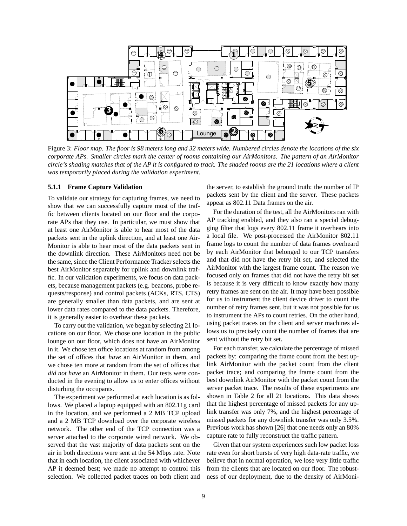

Figure 3: *Floor map. The floor is 98 meters long and 32 meters wide. Numbered circles denote the locations of the six corporate APs. Smaller circles mark the center of rooms containing our AirMonitors. The pattern of an AirMonitor circle's shading matches that of the AP it is configured to track. The shaded rooms are the 21 locations where a client was temporarily placed during the validation experiment.*

#### **5.1.1 Frame Capture Validation**

To validate our strategy for capturing frames, we need to show that we can successfully capture most of the traffic between clients located on our floor and the corporate APs that they use. In particular, we must show that at least one AirMonitor is able to hear most of the data packets sent in the uplink direction, and at least one Air-Monitor is able to hear most of the data packets sent in the downlink direction. These AirMonitors need not be the same, since the Client Performance Tracker selects the best AirMonitor separately for uplink and downlink traffic. In our validation experiments, we focus on data packets, because management packets (e.g. beacons, probe requests/response) and control packets (ACKs, RTS, CTS) are generally smaller than data packets, and are sent at lower data rates compared to the data packets. Therefore, it is generally easier to overhear these packets.

To carry out the validation, we began by selecting 21 locations on our floor. We chose one location in the public lounge on our floor, which does not have an AirMonitor in it. We chose ten office locations at random from among the set of offices that *have* an AirMonitor in them, and we chose ten more at random from the set of offices that *did not have* an AirMonitor in them. Our tests were conducted in the evening to allow us to enter offices without disturbing the occupants.

The experiment we performed at each location is as follows. We placed a laptop equipped with an 802.11g card in the location, and we performed a 2 MB TCP upload and a 2 MB TCP download over the corporate wireless network. The other end of the TCP connection was a server attached to the corporate wired network. We observed that the vast majority of data packets sent on the air in both directions were sent at the 54 Mbps rate. Note that in each location, the client associated with whichever AP it deemed best; we made no attempt to control this selection. We collected packet traces on both client and the server, to establish the ground truth: the number of IP packets sent by the client and the server. These packets appear as 802.11 Data frames on the air.

For the duration of the test, all the AirMonitors ran with AP tracking enabled, and they also ran a special debugging filter that logs every 802.11 frame it overhears into a local file. We post-processed the AirMonitor 802.11 frame logs to count the number of data frames overheard by each AirMonitor that belonged to our TCP transfers and that did not have the retry bit set, and selected the AirMonitor with the largest frame count. The reason we focused only on frames that did not have the retry bit set is because it is very difficult to know exactly how many retry frames are sent on the air. It may have been possible for us to instrument the client device driver to count the number of retry frames sent, but it was not possible for us to instrument the APs to count retries. On the other hand, using packet traces on the client and server machines allows us to precisely count the number of frames that are sent without the retry bit set.

For each transfer, we calculate the percentage of missed packets by: comparing the frame count from the best uplink AirMonitor with the packet count from the client packet trace; and comparing the frame count from the best downlink AirMonitor with the packet count from the server packet trace. The results of these experiments are shown in Table 2 for all 21 locations. This data shows that the highest percentage of missed packets for any uplink transfer was only 7%, and the highest percentage of missed packets for any downlink transfer was only 3.5%. Previous work has shown [26] that one needs only an 80% capture rate to fully reconstruct the traffic pattern.

Given that our system experiences such low packet loss rate even for short bursts of very high data-rate traffic, we believe that in normal operation, we lose very little traffic from the clients that are located on our floor. The robustness of our deployment, due to the density of AirMoni-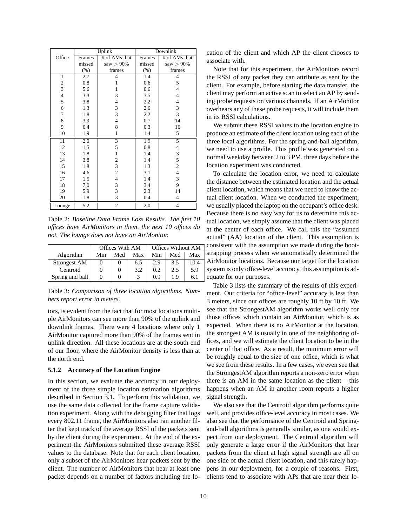|                  |         | Uplink                   | Downlink |                          |  |
|------------------|---------|--------------------------|----------|--------------------------|--|
| Office           | Frames  | # of AMs that            | Frames   | # of AMs that            |  |
| missed           |         | saw $> 90\%$             | missed   | saw $> 90\%$             |  |
|                  | $(\% )$ | frames                   | $(\% )$  | frames                   |  |
| $\mathbf{1}$     | 2.7     | $\overline{4}$           | 1.4      | $\overline{4}$           |  |
| $\boldsymbol{2}$ | 0.8     | 1                        | 0.6      | 5                        |  |
| $\overline{3}$   | 5.6     | 1                        | 0.6      | $\overline{4}$           |  |
| $\overline{4}$   | 3.3     | 3                        | 3.5      | $\overline{4}$           |  |
| 5                | 3.8     | $\overline{\mathcal{L}}$ | 2.2      | $\overline{4}$           |  |
| 6                | 1.3     | 3                        | 2.6      | 3                        |  |
| $\tau$           | 1.8     | $\overline{3}$           | 2.2      | 3                        |  |
| 8                | 3.9     | $\overline{4}$           | 0.7      | 14                       |  |
| 9                | 6.4     | 8                        | 0.3      | 16                       |  |
| 10               | 1.9     | $\mathbf{1}$             | 1.4      | 5                        |  |
| 11               | 2.0     | $\overline{\mathbf{3}}$  | 1.9      | 5                        |  |
| 12               | 1.5     | 5                        | 0.8      | $\overline{\mathcal{L}}$ |  |
| 13               | 1.8     | $\mathbf{1}$             | 1.4      | 3                        |  |
| 14               | 3.8     | $\overline{\mathbf{c}}$  | 1.4      | 5                        |  |
| 15               | 1.8     | $\frac{3}{2}$            | 1.3      | $\overline{c}$           |  |
| 16               | 4.6     |                          | 3.1      | $\overline{\mathbf{4}}$  |  |
| 17               | 1.5     | $\overline{\mathcal{L}}$ | 1.4      | 3                        |  |
| 18               | 7.0     | 3                        | 3.4      | 9                        |  |
| 19               | 5.9     | 3                        | 2.3      | 14                       |  |
| 20               | 1.8     | 3                        | 0.4      | $\overline{4}$           |  |
| Lounge           | 5.2     | 2                        | 2.0      | $\overline{4}$           |  |

Table 2: *Baseline Data Frame Loss Results. The first 10 offices have AirMonitors in them, the next 10 offices do not. The lounge does not have an AirMonitor.*

|                     | Offices With AM |          |     | <b>Offices Without AM</b> |     |      |
|---------------------|-----------------|----------|-----|---------------------------|-----|------|
| Algorithm           | Min             | Med      | Max | Min                       | Med | Max  |
| <b>Strongest AM</b> |                 | 0        | 6.5 | 2.9                       | 3.5 | 10.4 |
| Centroid            |                 | $\theta$ | 3.2 | 0.2                       | 2.5 | 5.9  |
| Spring and ball     |                 | O        |     | 0.9                       | 1.9 | 6.1  |

Table 3: *Comparison of three location algorithms. Numbers report error in meters.*

tors, is evident from the fact that for most locations multiple AirMonitors can see more than 90% of the uplink and downlink frames. There were 4 locations where only 1 AirMonitor captured more than 90% of the frames sent in uplink direction. All these locations are at the south end of our floor, where the AirMonitor density is less than at the north end.

#### **5.1.2 Accuracy of the Location Engine**

In this section, we evaluate the accuracy in our deployment of the three simple location estimation algorithms described in Section 3.1. To perform this validation, we use the same data collected for the frame capture validation experiment. Along with the debugging filter that logs every 802.11 frame, the AirMonitors also ran another filter that kept track of the average RSSI of the packets sent by the client during the experiment. At the end of the experiment the AirMonitors submitted these average RSSI values to the database. Note that for each client location, only a subset of the AirMonitors hear packets sent by the client. The number of AirMonitors that hear at least one packet depends on a number of factors including the location of the client and which AP the client chooses to associate with.

Note that for this experiment, the AirMonitors record the RSSI of any packet they can attribute as sent by the client. For example, before starting the data transfer, the client may perform an active scan to select an AP by sending probe requests on various channels. If an AirMonitor overhears any of these probe requests, it will include them in its RSSI calculations.

We submit these RSSI values to the location engine to produce an estimate of the client location using each of the three local algorithms. For the spring-and-ball algorithm, we need to use a profile. This profile was generated on a normal weekday between 2 to 3 PM, three days before the location experiment was conducted.

To calculate the location error, we need to calculate the distance between the estimated location and the actual client location, which means that we need to know the actual client location. When we conducted the experiment, we usually placed the laptop on the occupant's office desk. Because there is no easy way for us to determine this actual location, we simply assume that the client was placed at the center of each office. We call this the "assumed actual" (AA) location of the client. This assumption is consistent with the assumption we made during the bootstrapping process when we automatically determined the AirMonitor locations. Because our target for the location system is only office-level accuracy, this assumption is adequate for our purposes.

Table 3 lists the summary of the results of this experiment. Our criteria for "office-level" accuracy is less than 3 meters, since our offices are roughly 10 ft by 10 ft. We see that the StrongestAM algorithm works well only for those offices which contain an AirMonitor, which is as expected. When there is no AirMonitor at the location, the strongest AM is usually in one of the neighboring offices, and we will estimate the client location to be in the center of that office. As a result, the minimum error will be roughly equal to the size of one office, which is what we see from these results. In a few cases, we even see that the StrongestAM algorithm reports a non-zero error when there is an AM in the same location as the client – this happens when an AM in another room reports a higher signal strength.

We also see that the Centroid algorithm performs quite well, and provides office-level accuracy in most cases. We also see that the performance of the Centroid and Springand-ball algorithms is generally similar, as one would expect from our deployment. The Centroid algorithm will only generate a large error if the AirMonitors that hear packets from the client at high signal strength are all on one side of the actual client location, and this rarely happens in our deployment, for a couple of reasons. First, clients tend to associate with APs that are near their lo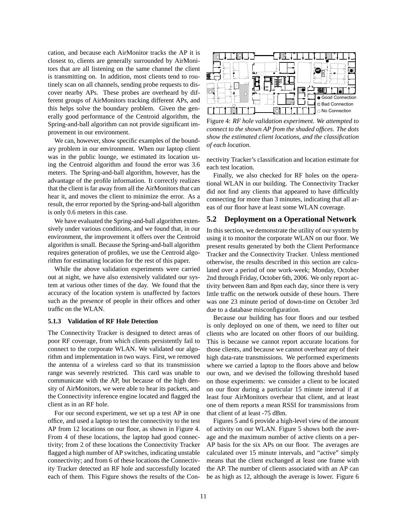cation, and because each AirMonitor tracks the AP it is closest to, clients are generally surrounded by AirMonitors that are all listening on the same channel the client is transmitting on. In addition, most clients tend to routinely scan on all channels, sending probe requests to discover nearby APs. These probes are overheard by different groups of AirMonitors tracking different APs, and this helps solve the boundary problem. Given the generally good performance of the Centroid algorithm, the Spring-and-ball algorithm can not provide significant improvement in our environment.

We can, however, show specific examples of the boundary problem in our environment. When our laptop client was in the public lounge, we estimated its location using the Centroid algorithm and found the error was 3.6 meters. The Spring-and-ball algorithm, however, has the advantage of the profile information. It correctly realizes that the client is far away from all the AirMonitors that can hear it, and moves the client to minimize the error. As a result, the error reported by the Spring-and-ball algorithm is only 0.6 meters in this case.

We have evaluated the Spring-and-ball algorithm extensively under various conditions, and we found that, in our environment, the improvement it offers over the Centroid algorithm is small. Because the Spring-and-ball algorithm requires generation of profiles, we use the Centroid algorithm for estimating location for the rest of this paper.

While the above validation experiments were carried out at night, we have also extensively validated our system at various other times of the day. We found that the accuracy of the location system is unaffected by factors such as the presence of people in their offices and other traffic on the WLAN.

### **5.1.3 Validation of RF Hole Detection**

The Connectivity Tracker is designed to detect areas of poor RF coverage, from which clients persistently fail to connect to the corporate WLAN. We validated our algorithm and implementation in two ways. First, we removed the antenna of a wireless card so that its transmission range was severely restricted. This card was unable to communicate with the AP, but because of the high density of AirMonitors, we were able to hear its packets, and the Connectivity inference engine located and flagged the client as in an RF hole.

For our second experiment, we set up a test AP in one office, and used a laptop to test the connectivity to the test AP from 12 locations on our floor, as shown in Figure 4. From 4 of these locations, the laptop had good connectivity; from 2 of these locations the Connectivity Tracker flagged a high number of AP switches, indicating unstable connectivity; and from 6 of these locations the Connectivity Tracker detected an RF hole and successfully located each of them. This Figure shows the results of the Con-



Figure 4: *RF hole validation experiment. We attempted to connect to the shown AP from the shaded offices. The dots show the estimated client locations, and the classification of each location.*

nectivity Tracker's classification and location estimate for each test location.

Finally, we also checked for RF holes on the operational WLAN in our building. The Connectivity Tracker did not find any clients that appeared to have difficultly connecting for more than 3 minutes, indicating that all areas of our floor have at least some WLAN coverage.

## **5.2 Deployment on a Operational Network**

In this section, we demonstrate the utility of our system by using it to monitor the corporate WLAN on our floor. We present results generated by both the Client Performance Tracker and the Connectivity Tracker. Unless mentioned otherwise, the results described in this section are calculated over a period of one work-week; Monday, October 2nd through Friday, October 6th, 2006. We only report activity between 8am and 8pm each day, since there is very little traffic on the network outside of these hours. There was one 23 minute period of down-time on October 3rd due to a database misconfiguration.

Because our building has four floors and our testbed is only deployed on one of them, we need to filter out clients who are located on other floors of our building. This is because we cannot report accurate locations for those clients, and because we cannot overhear any of their high data-rate transmissions. We performed experiments where we carried a laptop to the floors above and below our own, and we devised the following threshold based on those experiments: we consider a client to be located on our floor during a particular 15 minute interval if at least four AirMonitors overhear that client, and at least one of them reports a mean RSSI for transmissions from that client of at least -75 dBm.

Figures 5 and 6 provide a high-level view of the amount of activity on our WLAN. Figure 5 shows both the average and the maximum number of active clients on a per-AP basis for the six APs on our floor. The averages are calculated over 15 minute intervals, and "active" simply means that the client exchanged at least one frame with the AP. The number of clients associated with an AP can be as high as 12, although the average is lower. Figure 6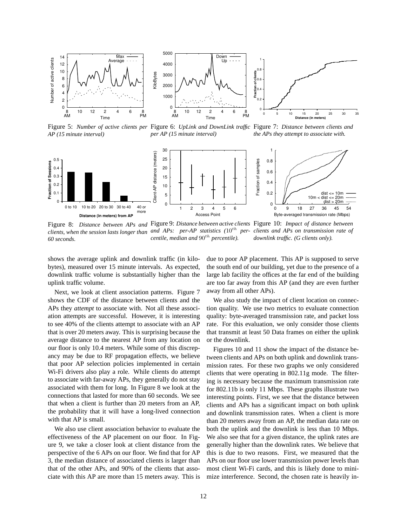

Figure 5: *Number of active clients per* Figure 6: *UpLink and DownLink traffic* Figure 7: *Distance between clients and AP (15 minute interval) per AP (15 minute interval) the APs they attempt to associate with.*



Figure 8: *Distance between APs and* Figure 9: *Distance between active clients* Figure 10: *Impact of distance between clients, when the session lasts longer than and APs: per-AP statistics (*10th *per-clients and APs on transmission rate of 60 seconds. centile, median and*  $90<sup>th</sup>$  *percentile*). *downlink traffic. (G clients only).*

shows the average uplink and downlink traffic (in kilobytes), measured over 15 minute intervals. As expected, downlink traffic volume is substantially higher than the uplink traffic volume.

Next, we look at client association patterns. Figure 7 shows the CDF of the distance between clients and the APs they *attempt* to associate with. Not all these association attempts are successful. However, it is interesting to see 40% of the clients attempt to associate with an AP that is over 20 meters away. This is surprising because the average distance to the nearest AP from any location on our floor is only 10.4 meters. While some of this discrepancy may be due to RF propagation effects, we believe that poor AP selection policies implemented in certain Wi-Fi drivers also play a role. While clients do attempt to associate with far-away APs, they generally do not stay associated with them for long. In Figure 8 we look at the connections that lasted for more than 60 seconds. We see that when a client is further than 20 meters from an AP, the probability that it will have a long-lived connection with that AP is small.

We also use client association behavior to evaluate the effectiveness of the AP placement on our floor. In Figure 9, we take a closer look at client distance from the perspective of the 6 APs on our floor. We find that for AP 3, the median distance of associated clients is larger than that of the other APs, and 90% of the clients that associate with this AP are more than 15 meters away. This is due to poor AP placement. This AP is supposed to serve the south end of our building, yet due to the presence of a large lab facility the offices at the far end of the building are too far away from this AP (and they are even further away from all other APs).

We also study the impact of client location on connection quality. We use two metrics to evaluate connection quality: byte-averaged transmission rate, and packet loss rate. For this evaluation, we only consider those clients that transmit at least 50 Data frames on either the uplink or the downlink.

Figures 10 and 11 show the impact of the distance between clients and APs on both uplink and downlink transmission rates. For these two graphs we only considered clients that were operating in 802.11g mode. The filtering is necessary because the maximum transmission rate for 802.11b is only 11 Mbps. These graphs illustrate two interesting points. First, we see that the distance between clients and APs has a significant impact on both uplink and downlink transmission rates. When a client is more than 20 meters away from an AP, the median data rate on both the uplink and the downlink is less than 10 Mbps. We also see that for a given distance, the uplink rates are generally higher than the downlink rates. We believe that this is due to two reasons. First, we measured that the APs on our floor use lower transmission power levels than most client Wi-Fi cards, and this is likely done to minimize interference. Second, the chosen rate is heavily in-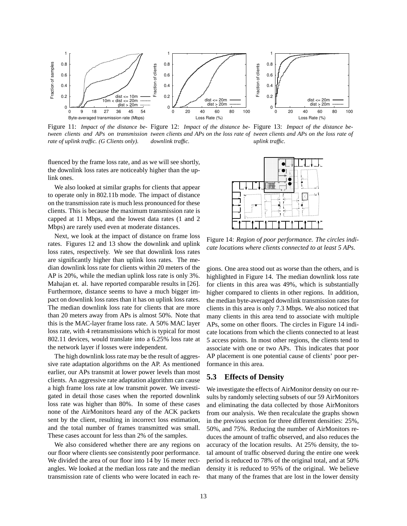

Figure 11: *Impact of the distance be-*Figure 12: *Impact of the distance be-*Figure 13: *Impact of the distance between clients and APs on transmission tween clients and APs on the loss rate of tween clients and APs on the loss rate of rate of uplink traffic. (G Clients only). downlink traffic. uplink traffic.*

fluenced by the frame loss rate, and as we will see shortly, the downlink loss rates are noticeably higher than the uplink ones.

We also looked at similar graphs for clients that appear to operate only in 802.11b mode. The impact of distance on the transmission rate is much less pronounced for these clients. This is because the maximum transmission rate is capped at 11 Mbps, and the lowest data rates (1 and 2 Mbps) are rarely used even at moderate distances.

Next, we look at the impact of distance on frame loss rates. Figures 12 and 13 show the downlink and uplink loss rates, respectively. We see that downlink loss rates are significantly higher than uplink loss rates. The median downlink loss rate for clients within 20 meters of the AP is 20%, while the median uplink loss rate is only 3%. Mahajan et. al. have reported comparable results in [26]. Furthermore, distance seems to have a much bigger impact on downlink loss rates than it has on uplink loss rates. The median downlink loss rate for clients that are more than 20 meters away from APs is almost 50%. Note that this is the MAC-layer frame loss rate. A 50% MAC layer loss rate, with 4 retransmissions which is typical for most 802.11 devices, would translate into a 6.25% loss rate at the network layer if losses were independent.

The high downlink loss rate may be the result of aggressive rate adaptation algorithms on the AP. As mentioned earlier, our APs transmit at lower power levels than most clients. An aggressive rate adaptation algorithm can cause a high frame loss rate at low transmit power. We investigated in detail those cases when the reported downlink loss rate was higher than 80%. In some of these cases none of the AirMonitors heard any of the ACK packets sent by the client, resulting in incorrect loss estimation, and the total number of frames transmitted was small. These cases account for less than 2% of the samples.

We also considered whether there are any regions on our floor where clients see consistently poor performance. We divided the area of our floor into 14 by 16 meter rectangles. We looked at the median loss rate and the median transmission rate of clients who were located in each re-



Figure 14: *Region of poor performance. The circles indicate locations where clients connected to at least 5 APs.*

gions. One area stood out as worse than the others, and is highlighted in Figure 14. The median downlink loss rate for clients in this area was 49%, which is substantially higher compared to clients in other regions. In addition, the median byte-averaged downlink transmission rates for clients in this area is only 7.3 Mbps. We also noticed that many clients in this area tend to associate with multiple APs, some on other floors. The circles in Figure 14 indicate locations from which the clients connected to at least 5 access points. In most other regions, the clients tend to associate with one or two APs. This indicates that poor AP placement is one potential cause of clients' poor performance in this area.

## **5.3 Effects of Density**

We investigate the effects of AirMonitor density on our results by randomly selecting subsets of our 59 AirMonitors and eliminating the data collected by those AirMonitors from our analysis. We then recalculate the graphs shown in the previous section for three different densities: 25%, 50%, and 75%. Reducing the number of AirMonitors reduces the amount of traffic observed, and also reduces the accuracy of the location results. At 25% density, the total amount of traffic observed during the entire one week period is reduced to 78% of the original total, and at 50% density it is reduced to 95% of the original. We believe that many of the frames that are lost in the lower density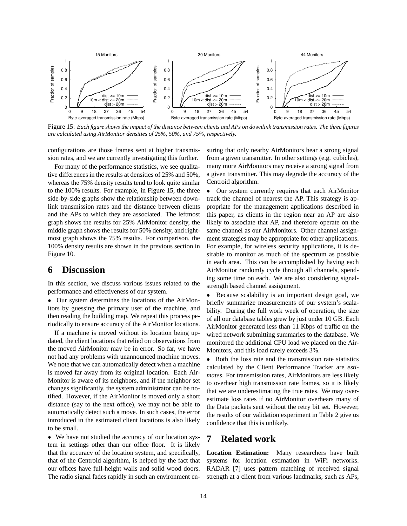

Figure 15: *Each figure shows the impact of the distance between clients and APs on downlink transmission rates. The three figures are calculated using AirMonitor densities of 25%, 50%, and 75%, respectively.*

configurations are those frames sent at higher transmission rates, and we are currently investigating this further.

For many of the performance statistics, we see qualitative differences in the results at densities of 25% and 50%, whereas the 75% density results tend to look quite similar to the 100% results. For example, in Figure 15, the three side-by-side graphs show the relationship between downlink transmission rates and the distance between clients and the APs to which they are associated. The leftmost graph shows the results for 25% AirMonitor density, the middle graph shows the results for 50% density, and rightmost graph shows the 75% results. For comparison, the 100% density results are shown in the previous section in Figure 10.

# **6 Discussion**

In this section, we discuss various issues related to the performance and effectiveness of our system.

• Our system determines the locations of the AirMonitors by guessing the primary user of the machine, and then reading the building map. We repeat this process periodically to ensure accuracy of the AirMonitor locations.

If a machine is moved without its location being updated, the client locations that relied on observations from the moved AirMonitor may be in error. So far, we have not had any problems with unannounced machine moves. We note that we can automatically detect when a machine is moved far away from its original location. Each Air-Monitor is aware of its neighbors, and if the neighbor set changes significantly, the system administrator can be notified. However, if the AirMonitor is moved only a short distance (say to the next office), we may not be able to automatically detect such a move. In such cases, the error introduced in the estimated client locations is also likely to be small.

• We have not studied the accuracy of our location system in settings other than our office floor. It is likely that the accuracy of the location system, and specifically, that of the Centroid algorithm, is helped by the fact that our offices have full-height walls and solid wood doors. The radio signal fades rapidly in such an environment ensuring that only nearby AirMonitors hear a strong signal from a given transmitter. In other settings (e.g. cubicles), many more AirMonitors may receive a strong signal from a given transmitter. This may degrade the accuracy of the Centroid algorithm.

• Our system currently requires that each AirMonitor track the channel of nearest the AP. This strategy is appropriate for the management applications described in this paper, as clients in the region near an AP are also likely to associate that AP, and therefore operate on the same channel as our AirMonitors. Other channel assignment strategies may be appropriate for other applications. For example, for wireless security applications, it is desirable to monitor as much of the spectrum as possible in each area. This can be accomplished by having each AirMonitor randomly cycle through all channels, spending some time on each. We are also considering signalstrength based channel assignment.

• Because scalability is an important design goal, we briefly summarize measurements of our system's scalability. During the full work week of operation, the size of all our database tables grew by just under 10 GB. Each AirMonitor generated less than 11 Kbps of traffic on the wired network submitting summaries to the database. We monitored the additional CPU load we placed on the Air-Monitors, and this load rarely exceeds 3%.

• Both the loss rate and the transmission rate statistics calculated by the Client Performance Tracker are *estimates*. For transmission rates, AirMonitors are less likely to overhear high transmission rate frames, so it is likely that we are underestimating the true rates. We may overestimate loss rates if no AirMonitor overhears many of the Data packets sent without the retry bit set. However, the results of our validation experiment in Table 2 give us confidence that this is unlikely.

## **7 Related work**

**Location Estimation:** Many researchers have built systems for location estimation in WiFi networks. RADAR [7] uses pattern matching of received signal strength at a client from various landmarks, such as APs,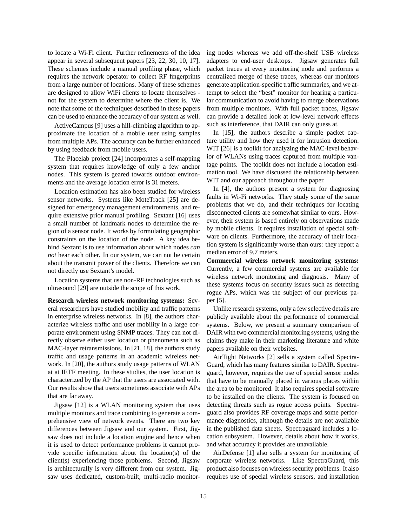to locate a Wi-Fi client. Further refinements of the idea appear in several subsequent papers [23, 22, 30, 10, 17]. These schemes include a manual profiling phase, which requires the network operator to collect RF fingerprints from a large number of locations. Many of these schemes are designed to allow WiFi clients to locate themselves not for the system to determine where the client is. We note that some of the techniques described in these papers can be used to enhance the accuracy of our system as well.

ActiveCampus [9] uses a hill-climbing algorithm to approximate the location of a mobile user using samples from multiple APs. The accuracy can be further enhanced by using feedback from mobile users.

The Placelab project [24] incorporates a self-mapping system that requires knowledge of only a few anchor nodes. This system is geared towards outdoor environments and the average location error is 31 meters.

Location estimation has also been studied for wireless sensor networks. Systems like MoteTrack [25] are designed for emergency management environments, and require extensive prior manual profiling. Sextant [16] uses a small number of landmark nodes to determine the region of a sensor node. It works by formulating geographic constraints on the location of the node. A key idea behind Sextant is to use information about which nodes *can not* hear each other. In our system, we can not be certain about the transmit power of the clients. Therefore we can not directly use Sextant's model.

Location systems that use non-RF technologies such as ultrasound [29] are outside the scope of this work.

**Research wireless network monitoring systems:** Several researchers have studied mobility and traffic patterns in enterprise wireless networks. In [8], the authors characterize wireless traffic and user mobility in a large corporate environment using SNMP traces. They can not directly observe either user location or phenomena such as MAC-layer retransmissions. In [21, 18], the authors study traffic and usage patterns in an academic wireless network. In [20], the authors study usage patterns of WLAN at at IETF meeting. In these studies, the user location is characterized by the AP that the users are associated with. Our results show that users sometimes associate with APs that are far away.

Jigsaw [12] is a WLAN monitoring system that uses multiple monitors and trace combining to generate a comprehensive view of network events. There are two key differences between Jigsaw and our system. First, Jigsaw does not include a location engine and hence when it is used to detect performance problems it cannot provide specific information about the location(s) of the client(s) experiencing those problems. Second, Jigsaw is architecturally is very different from our system. Jigsaw uses dedicated, custom-built, multi-radio monitoring nodes whereas we add off-the-shelf USB wireless adapters to end-user desktops. Jigsaw generates full packet traces at every monitoring node and performs a centralized merge of these traces, whereas our monitors generate application-specific traffic summaries, and we attempt to select the "best" monitor for hearing a particular communication to avoid having to merge observations from multiple monitors. With full packet traces, Jigsaw can provide a detailed look at low-level network effects such as interference, that DAIR can only guess at.

In [15], the authors describe a simple packet capture utility and how they used it for intrusion detection. WIT [26] is a toolkit for analyzing the MAC-level behavior of WLANs using traces captured from multiple vantage points. The toolkit does not include a location estimation tool. We have discussed the relationship between WIT and our approach throughout the paper.

In [4], the authors present a system for diagnosing faults in Wi-Fi networks. They study some of the same problems that we do, and their techniques for locating disconnected clients are somewhat similar to ours. However, their system is based entirely on observations made by mobile clients. It requires installation of special software on clients. Furthermore, the accuracy of their location system is significantly worse than ours: they report a median error of 9.7 meters.

**Commercial wireless network monitoring systems:** Currently, a few commercial systems are available for wireless network monitoring and diagnosis. Many of these systems focus on security issues such as detecting rogue APs, which was the subject of our previous paper [5].

Unlike research systems, only a few selective details are publicly available about the performance of commercial systems. Below, we present a summary comparison of DAIR with two commercial monitoring systems, using the claims they make in their marketing literature and white papers available on their websites.

AirTight Networks [2] sells a system called Spectra-Guard, which has many features similar to DAIR. Spectraguard, however, requires the use of special sensor nodes that have to be manually placed in various places within the area to be monitored. It also requires special software to be installed on the clients. The system is focused on detecting threats such as rogue access points. Spectraguard also provides RF coverage maps and some performance diagnostics, although the details are not available in the published data sheets. Spectraguard includes a location subsystem. However, details about how it works, and what accuracy it provides are unavailable.

AirDefense [1] also sells a system for monitoring of corporate wireless networks. Like SpectraGuard, this product also focuses on wireless security problems. It also requires use of special wireless sensors, and installation